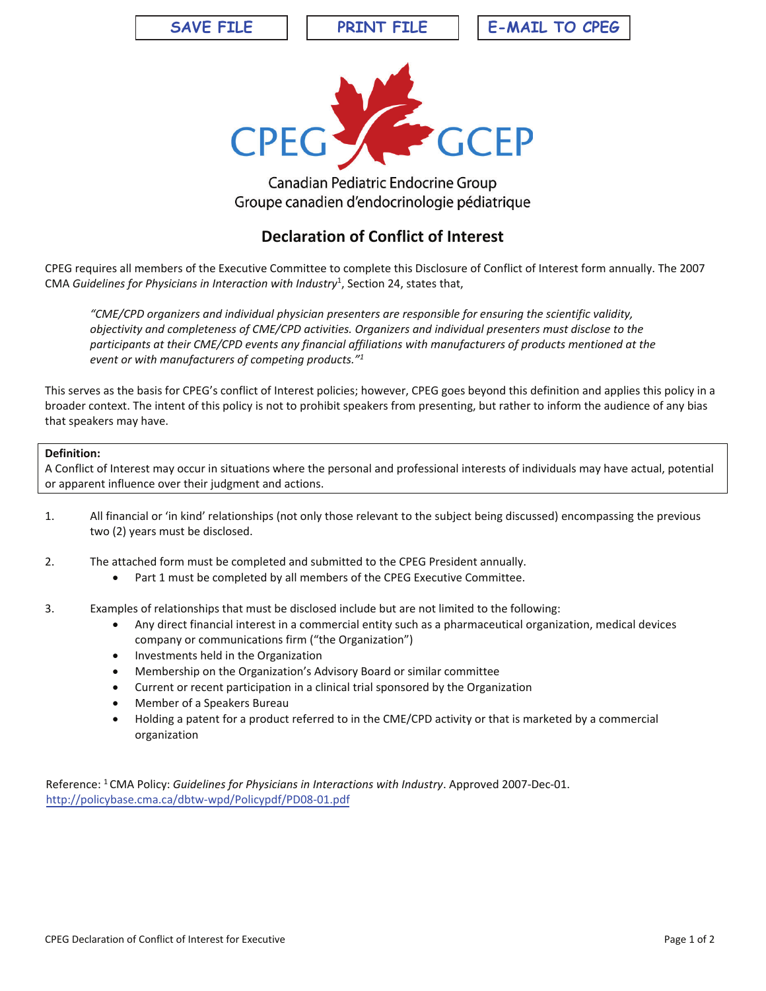**SAVE FILE PRINT FILE E-MAIL TO CPEG**



## Canadian Pediatric Endocrine Group Groupe canadien d'endocrinologie pédiatrique

## **Declaration of Conflict of Interest**

CPEG requires all members of the Executive Committee to complete this Disclosure of Conflict of Interest form annually. The 2007 CMA *Guidelines for Physicians in Interaction with Industry<sup>1</sup>, Section 24, states that,* 

*"CME/CPD organizers and individual physician presenters are responsible for ensuring the scientific validity, objectivity and completeness of CME/CPD activities. Organizers and individual presenters must disclose to the participants at their CME/CPD events any financial affiliations with manufacturers of products mentioned at the event or with manufacturers of competing products."1*

This serves as the basis for CPEG's conflict of Interest policies; however, CPEG goes beyond this definition and applies this policy in a broader context. The intent of this policy is not to prohibit speakers from presenting, but rather to inform the audience of any bias that speakers may have.

## **Definition:**

A Conflict of Interest may occur in situations where the personal and professional interests of individuals may have actual, potential or apparent influence over their judgment and actions.

- 1. All financial or 'in kind' relationships (not only those relevant to the subject being discussed) encompassing the previous two (2) years must be disclosed.
- 2. The attached form must be completed and submitted to the CPEG President annually.
	- Part 1 must be completed by all members of the CPEG Executive Committee.
- 3. Examples of relationships that must be disclosed include but are not limited to the following:
	- Any direct financial interest in a commercial entity such as a pharmaceutical organization, medical devices company or communications firm ("the Organization")
	- Investments held in the Organization
	- Membership on the Organization's Advisory Board or similar committee
	- Current or recent participation in a clinical trial sponsored by the Organization
	- Member of a Speakers Bureau
	- Holding a patent for a product referred to in the CME/CPD activity or that is marketed by a commercial organization

Reference: 1 CMA Policy: *Guidelines for Physicians in Interactions with Industry*. Approved 2007-Dec-01. http://policybase.cma.ca/dbtw-wpd/Policypdf/PD08-01.pdf